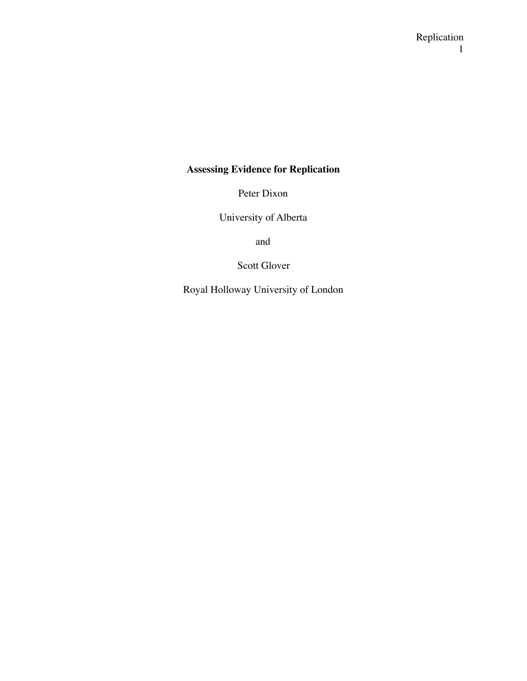## **Assessing Evidence for Replication**

Peter Dixon

University of Alberta

and

Scott Glover

Royal Holloway University of London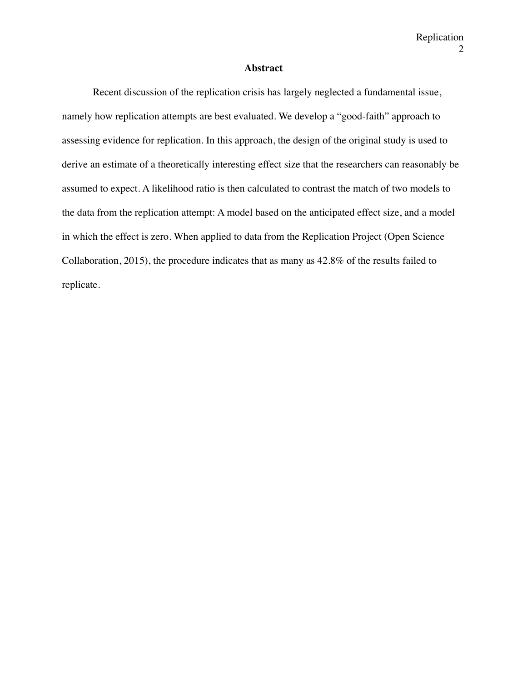### **Abstract**

Recent discussion of the replication crisis has largely neglected a fundamental issue, namely how replication attempts are best evaluated. We develop a "good-faith" approach to assessing evidence for replication. In this approach, the design of the original study is used to derive an estimate of a theoretically interesting effect size that the researchers can reasonably be assumed to expect. A likelihood ratio is then calculated to contrast the match of two models to the data from the replication attempt: A model based on the anticipated effect size, and a model in which the effect is zero. When applied to data from the Replication Project (Open Science Collaboration, 2015), the procedure indicates that as many as 42.8% of the results failed to replicate.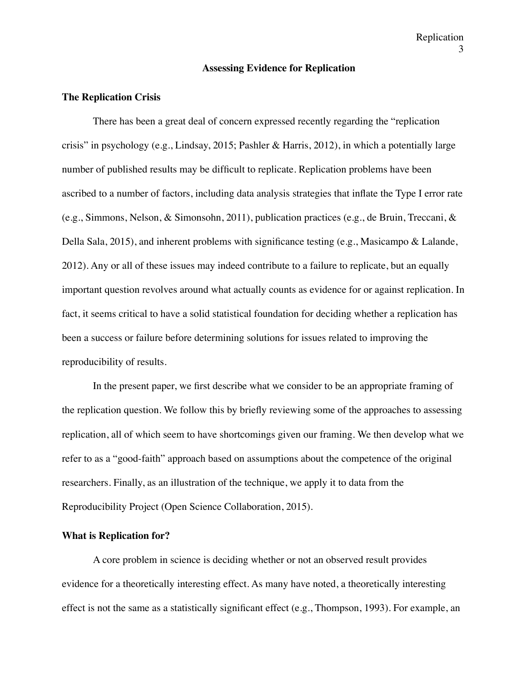#### **Assessing Evidence for Replication**

#### **The Replication Crisis**

There has been a great deal of concern expressed recently regarding the "replication crisis" in psychology (e.g., Lindsay, 2015; Pashler & Harris, 2012), in which a potentially large number of published results may be difficult to replicate. Replication problems have been ascribed to a number of factors, including data analysis strategies that inflate the Type I error rate (e.g., Simmons, Nelson, & Simonsohn, 2011), publication practices (e.g., de Bruin, Treccani, & Della Sala, 2015), and inherent problems with significance testing (e.g., Masicampo & Lalande, 2012). Any or all of these issues may indeed contribute to a failure to replicate, but an equally important question revolves around what actually counts as evidence for or against replication. In fact, it seems critical to have a solid statistical foundation for deciding whether a replication has been a success or failure before determining solutions for issues related to improving the reproducibility of results.

In the present paper, we first describe what we consider to be an appropriate framing of the replication question. We follow this by briefly reviewing some of the approaches to assessing replication, all of which seem to have shortcomings given our framing. We then develop what we refer to as a "good-faith" approach based on assumptions about the competence of the original researchers. Finally, as an illustration of the technique, we apply it to data from the Reproducibility Project (Open Science Collaboration, 2015).

#### **What is Replication for?**

A core problem in science is deciding whether or not an observed result provides evidence for a theoretically interesting effect. As many have noted, a theoretically interesting effect is not the same as a statistically significant effect (e.g., Thompson, 1993). For example, an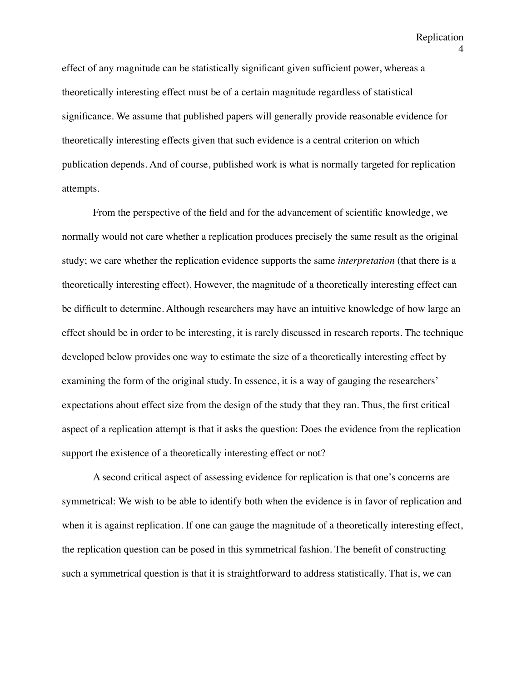effect of any magnitude can be statistically significant given sufficient power, whereas a theoretically interesting effect must be of a certain magnitude regardless of statistical significance. We assume that published papers will generally provide reasonable evidence for theoretically interesting effects given that such evidence is a central criterion on which publication depends. And of course, published work is what is normally targeted for replication attempts.

From the perspective of the field and for the advancement of scientific knowledge, we normally would not care whether a replication produces precisely the same result as the original study; we care whether the replication evidence supports the same *interpretation* (that there is a theoretically interesting effect). However, the magnitude of a theoretically interesting effect can be difficult to determine. Although researchers may have an intuitive knowledge of how large an effect should be in order to be interesting, it is rarely discussed in research reports. The technique developed below provides one way to estimate the size of a theoretically interesting effect by examining the form of the original study. In essence, it is a way of gauging the researchers' expectations about effect size from the design of the study that they ran. Thus, the first critical aspect of a replication attempt is that it asks the question: Does the evidence from the replication support the existence of a theoretically interesting effect or not?

A second critical aspect of assessing evidence for replication is that one's concerns are symmetrical: We wish to be able to identify both when the evidence is in favor of replication and when it is against replication. If one can gauge the magnitude of a theoretically interesting effect, the replication question can be posed in this symmetrical fashion. The benefit of constructing such a symmetrical question is that it is straightforward to address statistically. That is, we can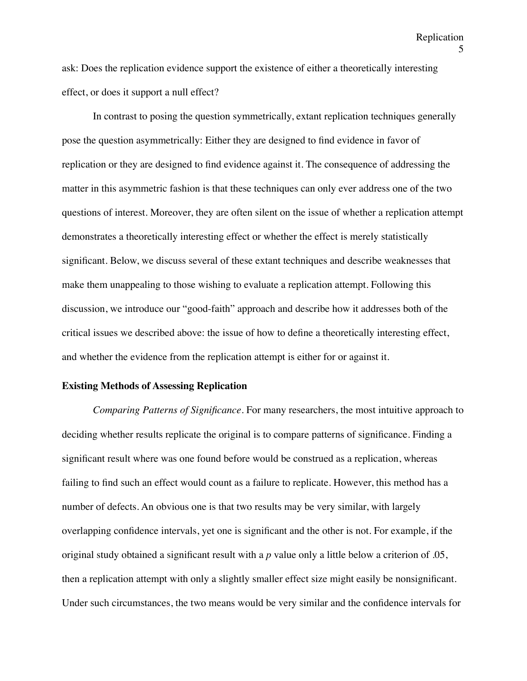ask: Does the replication evidence support the existence of either a theoretically interesting effect, or does it support a null effect?

In contrast to posing the question symmetrically, extant replication techniques generally pose the question asymmetrically: Either they are designed to find evidence in favor of replication or they are designed to find evidence against it. The consequence of addressing the matter in this asymmetric fashion is that these techniques can only ever address one of the two questions of interest. Moreover, they are often silent on the issue of whether a replication attempt demonstrates a theoretically interesting effect or whether the effect is merely statistically significant. Below, we discuss several of these extant techniques and describe weaknesses that make them unappealing to those wishing to evaluate a replication attempt. Following this discussion, we introduce our "good-faith" approach and describe how it addresses both of the critical issues we described above: the issue of how to define a theoretically interesting effect, and whether the evidence from the replication attempt is either for or against it.

#### **Existing Methods of Assessing Replication**

*Comparing Patterns of Significance.* For many researchers, the most intuitive approach to deciding whether results replicate the original is to compare patterns of significance. Finding a significant result where was one found before would be construed as a replication, whereas failing to find such an effect would count as a failure to replicate. However, this method has a number of defects. An obvious one is that two results may be very similar, with largely overlapping confidence intervals, yet one is significant and the other is not. For example, if the original study obtained a significant result with a *p* value only a little below a criterion of .05, then a replication attempt with only a slightly smaller effect size might easily be nonsignificant. Under such circumstances, the two means would be very similar and the confidence intervals for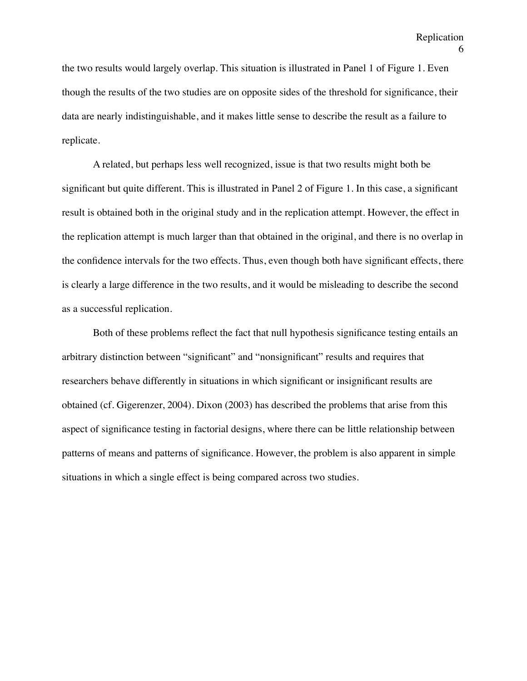the two results would largely overlap. This situation is illustrated in Panel 1 of Figure 1. Even though the results of the two studies are on opposite sides of the threshold for significance, their data are nearly indistinguishable, and it makes little sense to describe the result as a failure to replicate.

A related, but perhaps less well recognized, issue is that two results might both be significant but quite different. This is illustrated in Panel 2 of Figure 1. In this case, a significant result is obtained both in the original study and in the replication attempt. However, the effect in the replication attempt is much larger than that obtained in the original, and there is no overlap in the confidence intervals for the two effects. Thus, even though both have significant effects, there is clearly a large difference in the two results, and it would be misleading to describe the second as a successful replication.

Both of these problems reflect the fact that null hypothesis significance testing entails an arbitrary distinction between "significant" and "nonsignificant" results and requires that researchers behave differently in situations in which significant or insignificant results are obtained (cf. Gigerenzer, 2004). Dixon (2003) has described the problems that arise from this aspect of significance testing in factorial designs, where there can be little relationship between patterns of means and patterns of significance. However, the problem is also apparent in simple situations in which a single effect is being compared across two studies.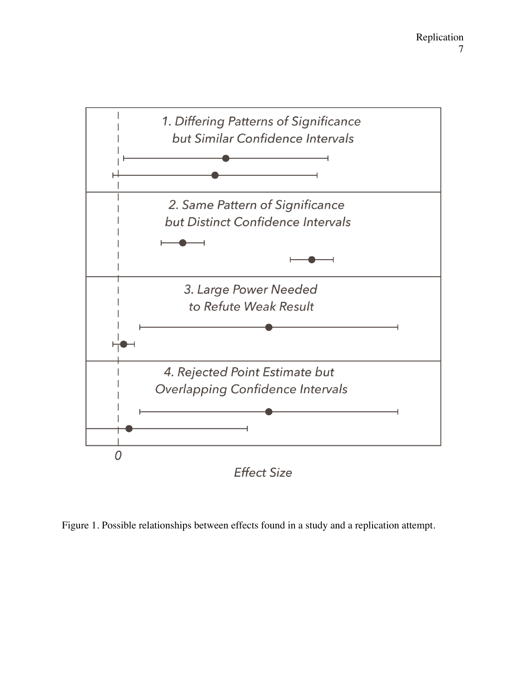

Figure 1. Possible relationships between effects found in a study and a replication attempt.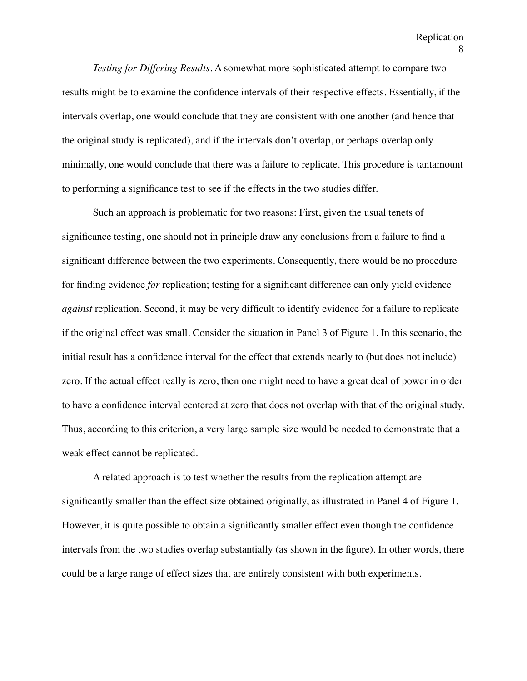*Testing for Differing Results.* A somewhat more sophisticated attempt to compare two results might be to examine the confidence intervals of their respective effects. Essentially, if the intervals overlap, one would conclude that they are consistent with one another (and hence that the original study is replicated), and if the intervals don't overlap, or perhaps overlap only minimally, one would conclude that there was a failure to replicate. This procedure is tantamount to performing a significance test to see if the effects in the two studies differ.

Such an approach is problematic for two reasons: First, given the usual tenets of significance testing, one should not in principle draw any conclusions from a failure to find a significant difference between the two experiments. Consequently, there would be no procedure for finding evidence *for* replication; testing for a significant difference can only yield evidence *against* replication. Second, it may be very difficult to identify evidence for a failure to replicate if the original effect was small. Consider the situation in Panel 3 of Figure 1. In this scenario, the initial result has a confidence interval for the effect that extends nearly to (but does not include) zero. If the actual effect really is zero, then one might need to have a great deal of power in order to have a confidence interval centered at zero that does not overlap with that of the original study. Thus, according to this criterion, a very large sample size would be needed to demonstrate that a weak effect cannot be replicated.

A related approach is to test whether the results from the replication attempt are significantly smaller than the effect size obtained originally, as illustrated in Panel 4 of Figure 1. However, it is quite possible to obtain a significantly smaller effect even though the confidence intervals from the two studies overlap substantially (as shown in the figure). In other words, there could be a large range of effect sizes that are entirely consistent with both experiments.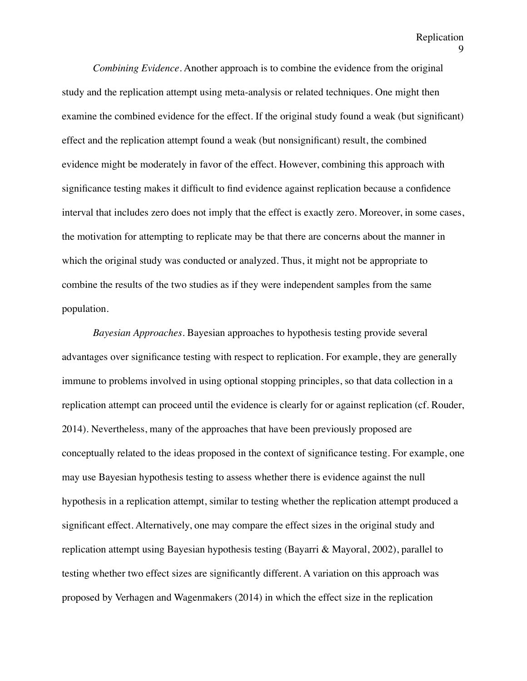*Combining Evidence*. Another approach is to combine the evidence from the original study and the replication attempt using meta-analysis or related techniques. One might then examine the combined evidence for the effect. If the original study found a weak (but significant) effect and the replication attempt found a weak (but nonsignificant) result, the combined evidence might be moderately in favor of the effect. However, combining this approach with significance testing makes it difficult to find evidence against replication because a confidence interval that includes zero does not imply that the effect is exactly zero. Moreover, in some cases, the motivation for attempting to replicate may be that there are concerns about the manner in which the original study was conducted or analyzed. Thus, it might not be appropriate to combine the results of the two studies as if they were independent samples from the same population.

*Bayesian Approaches.* Bayesian approaches to hypothesis testing provide several advantages over significance testing with respect to replication. For example, they are generally immune to problems involved in using optional stopping principles, so that data collection in a replication attempt can proceed until the evidence is clearly for or against replication (cf. Rouder, 2014). Nevertheless, many of the approaches that have been previously proposed are conceptually related to the ideas proposed in the context of significance testing. For example, one may use Bayesian hypothesis testing to assess whether there is evidence against the null hypothesis in a replication attempt, similar to testing whether the replication attempt produced a significant effect. Alternatively, one may compare the effect sizes in the original study and replication attempt using Bayesian hypothesis testing (Bayarri & Mayoral, 2002), parallel to testing whether two effect sizes are significantly different. A variation on this approach was proposed by Verhagen and Wagenmakers (2014) in which the effect size in the replication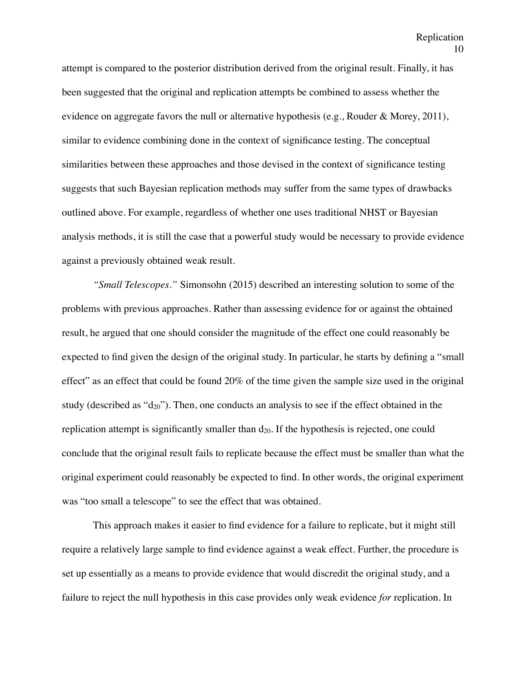attempt is compared to the posterior distribution derived from the original result. Finally, it has been suggested that the original and replication attempts be combined to assess whether the evidence on aggregate favors the null or alternative hypothesis (e.g., Rouder & Morey, 2011), similar to evidence combining done in the context of significance testing. The conceptual similarities between these approaches and those devised in the context of significance testing suggests that such Bayesian replication methods may suffer from the same types of drawbacks outlined above. For example, regardless of whether one uses traditional NHST or Bayesian analysis methods, it is still the case that a powerful study would be necessary to provide evidence against a previously obtained weak result.

*"Small Telescopes."* Simonsohn (2015) described an interesting solution to some of the problems with previous approaches. Rather than assessing evidence for or against the obtained result, he argued that one should consider the magnitude of the effect one could reasonably be expected to find given the design of the original study. In particular, he starts by defining a "small effect" as an effect that could be found 20% of the time given the sample size used in the original study (described as " $d_{20}$ "). Then, one conducts an analysis to see if the effect obtained in the replication attempt is significantly smaller than  $d_{20}$ . If the hypothesis is rejected, one could conclude that the original result fails to replicate because the effect must be smaller than what the original experiment could reasonably be expected to find. In other words, the original experiment was "too small a telescope" to see the effect that was obtained.

This approach makes it easier to find evidence for a failure to replicate, but it might still require a relatively large sample to find evidence against a weak effect. Further, the procedure is set up essentially as a means to provide evidence that would discredit the original study, and a failure to reject the null hypothesis in this case provides only weak evidence *for* replication. In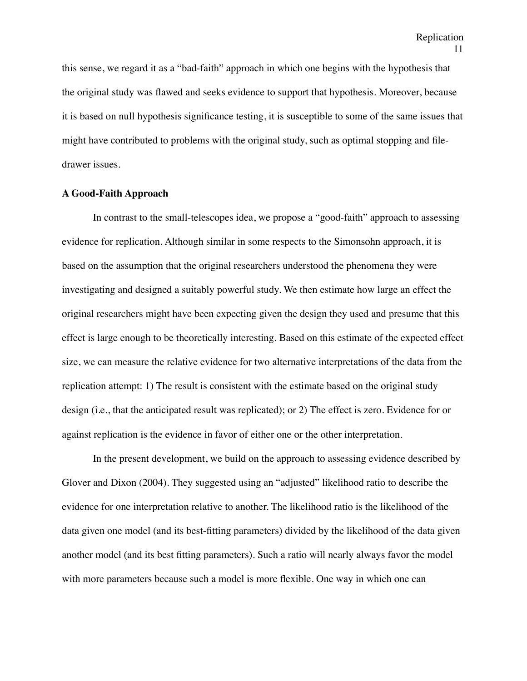this sense, we regard it as a "bad-faith" approach in which one begins with the hypothesis that the original study was flawed and seeks evidence to support that hypothesis. Moreover, because it is based on null hypothesis significance testing, it is susceptible to some of the same issues that might have contributed to problems with the original study, such as optimal stopping and filedrawer issues.

#### **A Good-Faith Approach**

In contrast to the small-telescopes idea, we propose a "good-faith" approach to assessing evidence for replication. Although similar in some respects to the Simonsohn approach, it is based on the assumption that the original researchers understood the phenomena they were investigating and designed a suitably powerful study. We then estimate how large an effect the original researchers might have been expecting given the design they used and presume that this effect is large enough to be theoretically interesting. Based on this estimate of the expected effect size, we can measure the relative evidence for two alternative interpretations of the data from the replication attempt: 1) The result is consistent with the estimate based on the original study design (i.e., that the anticipated result was replicated); or 2) The effect is zero. Evidence for or against replication is the evidence in favor of either one or the other interpretation.

In the present development, we build on the approach to assessing evidence described by Glover and Dixon (2004). They suggested using an "adjusted" likelihood ratio to describe the evidence for one interpretation relative to another. The likelihood ratio is the likelihood of the data given one model (and its best-fitting parameters) divided by the likelihood of the data given another model (and its best fitting parameters). Such a ratio will nearly always favor the model with more parameters because such a model is more flexible. One way in which one can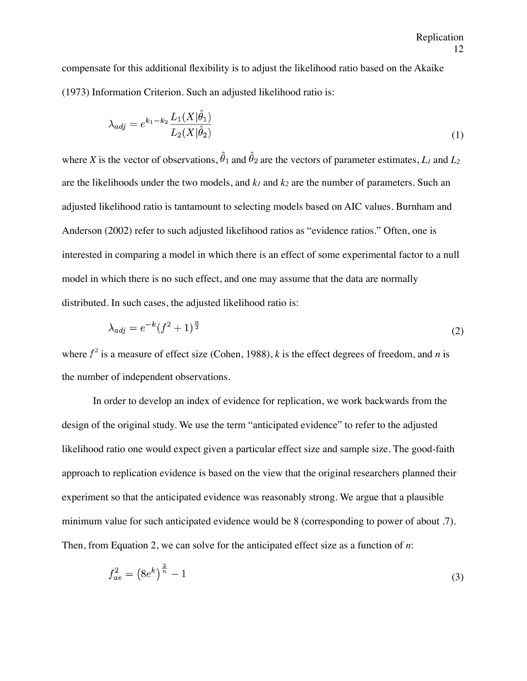compensate for this additional flexibility is to adjust the likelihood ratio based on the Akaike (1973) Information Criterion. Such an adjusted likelihood ratio is:

$$
\lambda_{adj} = e^{k_1 - k_2} \frac{L_1(X|\hat{\theta}_1)}{L_2(X|\hat{\theta}_2)}
$$
(1)

where *X* is the vector of observations,  $\hat{\theta}_1$  and  $\hat{\theta}_2$  are the vectors of parameter estimates, *L<sub>1</sub>* and *L*<sub>2</sub> are the likelihoods under the two models, and  $k_1$  and  $k_2$  are the number of parameters. Such an adjusted likelihood ratio is tantamount to selecting models based on AIC values. Burnham and Anderson (2002) refer to such adjusted likelihood ratios as "evidence ratios." Often, one is interested in comparing a model in which there is an effect of some experimental factor to a null model in which there is no such effect, and one may assume that the data are normally distributed. In such cases, the adjusted likelihood ratio is:

$$
\lambda_{adj} = e^{-k} (f^2 + 1)^{\frac{n}{2}} \tag{2}
$$

where  $f^2$  is a measure of effect size (Cohen, 1988), *k* is the effect degrees of freedom, and *n* is the number of independent observations.

In order to develop an index of evidence for replication, we work backwards from the design of the original study. We use the term "anticipated evidence" to refer to the adjusted likelihood ratio one would expect given a particular effect size and sample size. The good-faith approach to replication evidence is based on the view that the original researchers planned their experiment so that the anticipated evidence was reasonably strong. We argue that a plausible minimum value for such anticipated evidence would be 8 (corresponding to power of about .7). Then, from Equation 2, we can solve for the anticipated effect size as a function of *n*:

$$
f_{ae}^2 = \left(8e^k\right)^{\frac{2}{n}} - 1\tag{3}
$$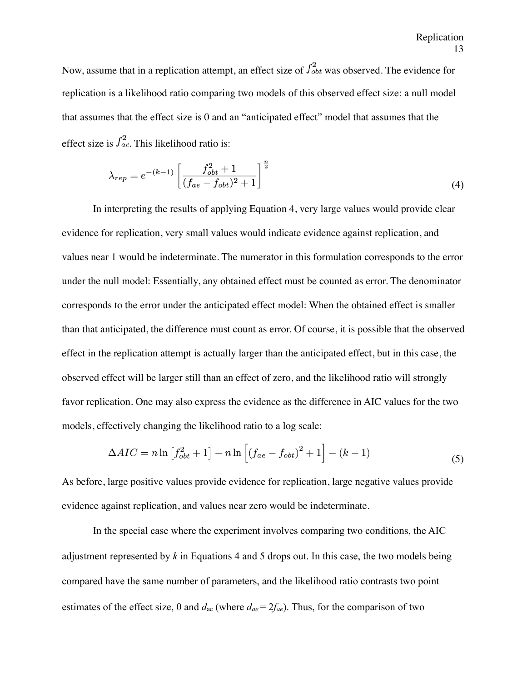Now, assume that in a replication attempt, an effect size of  $f_{obt}^2$  was observed. The evidence for replication is a likelihood ratio comparing two models of this observed effect size: a null model that assumes that the effect size is 0 and an "anticipated effect" model that assumes that the effect size is  $f_{ae}^2$ . This likelihood ratio is:

$$
\lambda_{rep} = e^{-(k-1)} \left[ \frac{f_{obt}^2 + 1}{(f_{ae} - f_{obt})^2 + 1} \right]^{\frac{n}{2}}
$$
(4)

In interpreting the results of applying Equation 4, very large values would provide clear evidence for replication, very small values would indicate evidence against replication, and values near 1 would be indeterminate. The numerator in this formulation corresponds to the error under the null model: Essentially, any obtained effect must be counted as error. The denominator corresponds to the error under the anticipated effect model: When the obtained effect is smaller than that anticipated, the difference must count as error. Of course, it is possible that the observed effect in the replication attempt is actually larger than the anticipated effect, but in this case, the observed effect will be larger still than an effect of zero, and the likelihood ratio will strongly favor replication. One may also express the evidence as the difference in AIC values for the two models, effectively changing the likelihood ratio to a log scale:

$$
\Delta AIC = n \ln \left[ f_{obt}^2 + 1 \right] - n \ln \left[ \left( f_{ae} - f_{obt} \right)^2 + 1 \right] - (k - 1) \tag{5}
$$

As before, large positive values provide evidence for replication, large negative values provide evidence against replication, and values near zero would be indeterminate.

In the special case where the experiment involves comparing two conditions, the AIC adjustment represented by *k* in Equations 4 and 5 drops out. In this case, the two models being compared have the same number of parameters, and the likelihood ratio contrasts two point estimates of the effect size, 0 and  $d_{ae}$  (where  $d_{ae} = 2f_{ae}$ ). Thus, for the comparison of two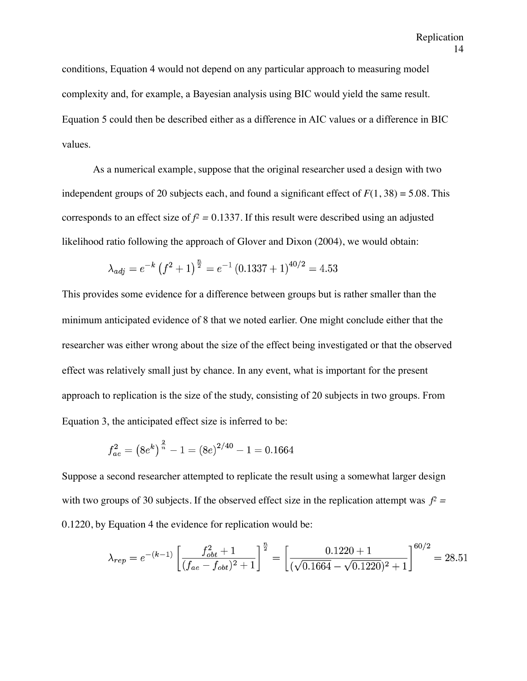conditions, Equation 4 would not depend on any particular approach to measuring model complexity and, for example, a Bayesian analysis using BIC would yield the same result. Equation 5 could then be described either as a difference in AIC values or a difference in BIC values.

As a numerical example, suppose that the original researcher used a design with two independent groups of 20 subjects each, and found a significant effect of  $F(1, 38) = 5.08$ . This corresponds to an effect size of  $f^2 = 0.1337$ . If this result were described using an adjusted likelihood ratio following the approach of Glover and Dixon (2004), we would obtain:

$$
\lambda_{adj} = e^{-k} \left(f^2 + 1\right)^{\frac{n}{2}} = e^{-1} \left(0.1337 + 1\right)^{40/2} = 4.53
$$

This provides some evidence for a difference between groups but is rather smaller than the minimum anticipated evidence of 8 that we noted earlier. One might conclude either that the researcher was either wrong about the size of the effect being investigated or that the observed effect was relatively small just by chance. In any event, what is important for the present approach to replication is the size of the study, consisting of 20 subjects in two groups. From Equation 3, the anticipated effect size is inferred to be:

$$
f_{ae}^{2} = (8e^{k})^{\frac{2}{n}} - 1 = (8e)^{2/40} - 1 = 0.1664
$$

Suppose a second researcher attempted to replicate the result using a somewhat larger design with two groups of 30 subjects. If the observed effect size in the replication attempt was  $f^2 =$ 0.1220, by Equation 4 the evidence for replication would be:

$$
\lambda_{rep} = e^{-(k-1)} \left[ \frac{f_{obt}^2 + 1}{(f_{ae} - f_{obt})^2 + 1} \right]^{\frac{n}{2}} = \left[ \frac{0.1220 + 1}{(\sqrt{0.1664} - \sqrt{0.1220})^2 + 1} \right]^{60/2} = 28.51
$$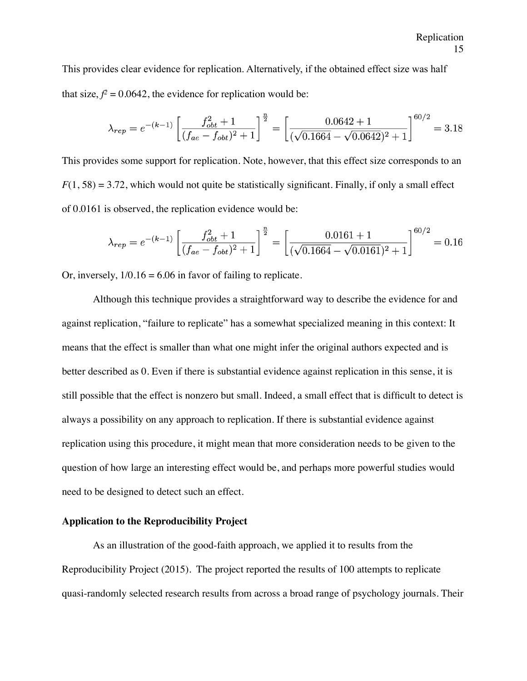This provides clear evidence for replication. Alternatively, if the obtained effect size was half that size,  $f^2 = 0.0642$ , the evidence for replication would be:

$$
\lambda_{rep} = e^{-(k-1)} \left[ \frac{f_{obt}^2 + 1}{(f_{ae} - f_{obt})^2 + 1} \right]^{\frac{n}{2}} = \left[ \frac{0.0642 + 1}{(\sqrt{0.1664} - \sqrt{0.0642})^2 + 1} \right]^{60/2} = 3.18
$$

This provides some support for replication. Note, however, that this effect size corresponds to an  $F(1, 58) = 3.72$ , which would not quite be statistically significant. Finally, if only a small effect of 0.0161 is observed, the replication evidence would be:

$$
\lambda_{rep} = e^{-(k-1)} \left[ \frac{f_{obt}^2 + 1}{(f_{ae} - f_{obt})^2 + 1} \right]^{\frac{n}{2}} = \left[ \frac{0.0161 + 1}{(\sqrt{0.1664} - \sqrt{0.0161})^2 + 1} \right]^{60/2} = 0.16
$$

Or, inversely,  $1/0.16 = 6.06$  in favor of failing to replicate.

Although this technique provides a straightforward way to describe the evidence for and against replication, "failure to replicate" has a somewhat specialized meaning in this context: It means that the effect is smaller than what one might infer the original authors expected and is better described as 0. Even if there is substantial evidence against replication in this sense, it is still possible that the effect is nonzero but small. Indeed, a small effect that is difficult to detect is always a possibility on any approach to replication. If there is substantial evidence against replication using this procedure, it might mean that more consideration needs to be given to the question of how large an interesting effect would be, and perhaps more powerful studies would need to be designed to detect such an effect.

## **Application to the Reproducibility Project**

As an illustration of the good-faith approach, we applied it to results from the Reproducibility Project (2015)*.* The project reported the results of 100 attempts to replicate quasi-randomly selected research results from across a broad range of psychology journals. Their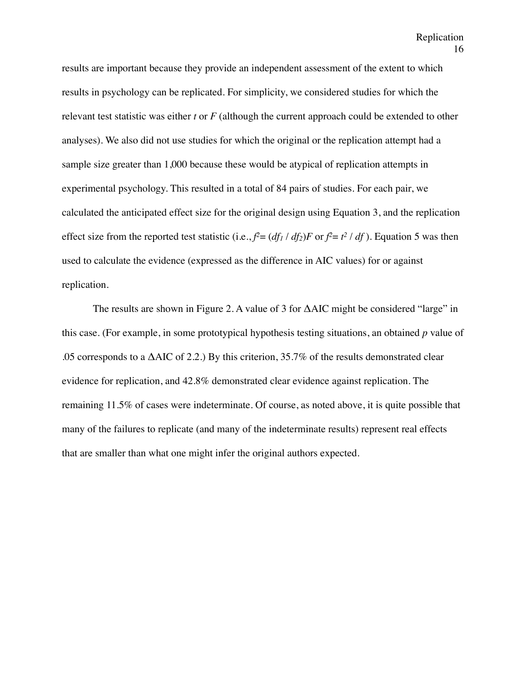results are important because they provide an independent assessment of the extent to which results in psychology can be replicated. For simplicity, we considered studies for which the relevant test statistic was either *t* or *F* (although the current approach could be extended to other analyses). We also did not use studies for which the original or the replication attempt had a sample size greater than 1,000 because these would be atypical of replication attempts in experimental psychology. This resulted in a total of 84 pairs of studies. For each pair, we calculated the anticipated effect size for the original design using Equation 3, and the replication effect size from the reported test statistic (i.e.,  $f^2 = (df_1 / df_2)F$  or  $f^2 = t^2 / df$ ). Equation 5 was then used to calculate the evidence (expressed as the difference in AIC values) for or against replication.

The results are shown in Figure 2. A value of 3 for ΔAIC might be considered "large" in this case. (For example, in some prototypical hypothesis testing situations, an obtained *p* value of .05 corresponds to a  $\triangle AIC$  of 2.2.) By this criterion, 35.7% of the results demonstrated clear evidence for replication, and 42.8% demonstrated clear evidence against replication. The remaining 11.5% of cases were indeterminate. Of course, as noted above, it is quite possible that many of the failures to replicate (and many of the indeterminate results) represent real effects that are smaller than what one might infer the original authors expected.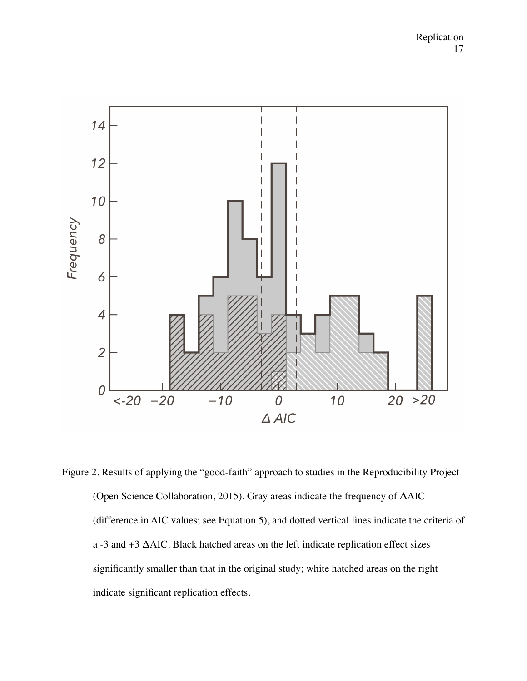

Figure 2. Results of applying the "good-faith" approach to studies in the Reproducibility Project (Open Science Collaboration, 2015). Gray areas indicate the frequency of ΔAIC (difference in AIC values; see Equation 5), and dotted vertical lines indicate the criteria of a -3 and +3 ΔAIC. Black hatched areas on the left indicate replication effect sizes significantly smaller than that in the original study; white hatched areas on the right indicate significant replication effects.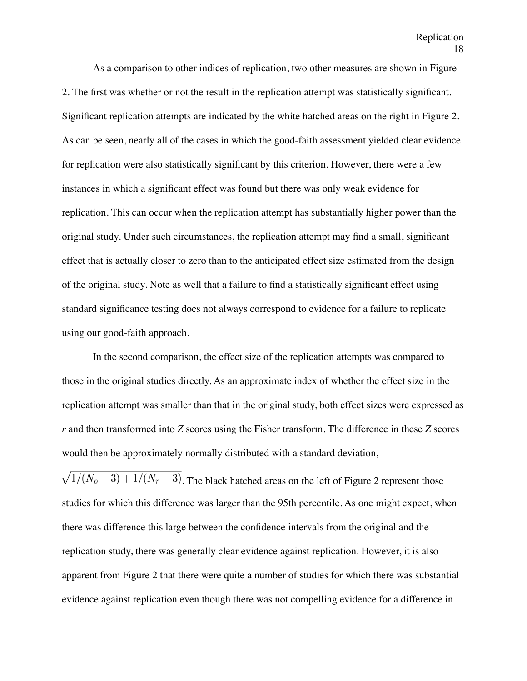As a comparison to other indices of replication, two other measures are shown in Figure 2. The first was whether or not the result in the replication attempt was statistically significant. Significant replication attempts are indicated by the white hatched areas on the right in Figure 2. As can be seen, nearly all of the cases in which the good-faith assessment yielded clear evidence for replication were also statistically significant by this criterion. However, there were a few instances in which a significant effect was found but there was only weak evidence for replication. This can occur when the replication attempt has substantially higher power than the original study. Under such circumstances, the replication attempt may find a small, significant effect that is actually closer to zero than to the anticipated effect size estimated from the design of the original study. Note as well that a failure to find a statistically significant effect using standard significance testing does not always correspond to evidence for a failure to replicate using our good-faith approach.

In the second comparison, the effect size of the replication attempts was compared to those in the original studies directly. As an approximate index of whether the effect size in the replication attempt was smaller than that in the original study, both effect sizes were expressed as *r* and then transformed into *Z* scores using the Fisher transform. The difference in these *Z* scores would then be approximately normally distributed with a standard deviation,

 $\sqrt{1/(N_o-3)+1/(N_r-3)}$ . The black hatched areas on the left of Figure 2 represent those studies for which this difference was larger than the 95th percentile. As one might expect, when there was difference this large between the confidence intervals from the original and the replication study, there was generally clear evidence against replication. However, it is also apparent from Figure 2 that there were quite a number of studies for which there was substantial evidence against replication even though there was not compelling evidence for a difference in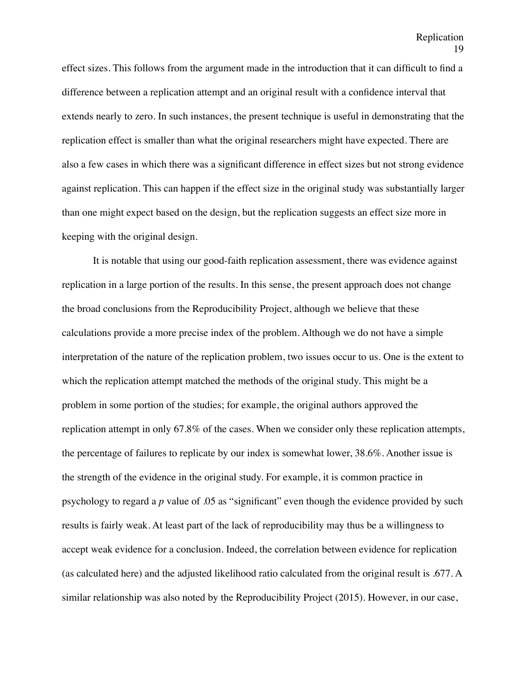effect sizes. This follows from the argument made in the introduction that it can difficult to find a difference between a replication attempt and an original result with a confidence interval that extends nearly to zero. In such instances, the present technique is useful in demonstrating that the replication effect is smaller than what the original researchers might have expected. There are also a few cases in which there was a significant difference in effect sizes but not strong evidence against replication. This can happen if the effect size in the original study was substantially larger than one might expect based on the design, but the replication suggests an effect size more in keeping with the original design.

It is notable that using our good-faith replication assessment, there was evidence against replication in a large portion of the results. In this sense, the present approach does not change the broad conclusions from the Reproducibility Project, although we believe that these calculations provide a more precise index of the problem. Although we do not have a simple interpretation of the nature of the replication problem, two issues occur to us. One is the extent to which the replication attempt matched the methods of the original study. This might be a problem in some portion of the studies; for example, the original authors approved the replication attempt in only 67.8% of the cases. When we consider only these replication attempts, the percentage of failures to replicate by our index is somewhat lower, 38.6%. Another issue is the strength of the evidence in the original study. For example, it is common practice in psychology to regard a *p* value of .05 as "significant" even though the evidence provided by such results is fairly weak. At least part of the lack of reproducibility may thus be a willingness to accept weak evidence for a conclusion. Indeed, the correlation between evidence for replication (as calculated here) and the adjusted likelihood ratio calculated from the original result is .677. A similar relationship was also noted by the Reproducibility Project (2015). However, in our case,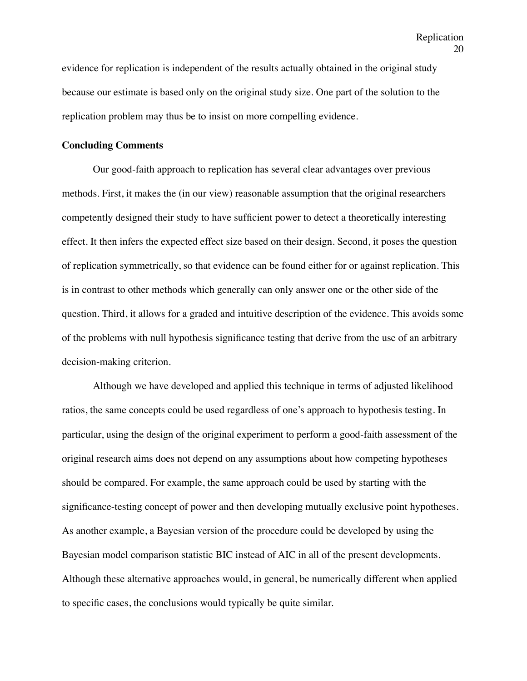evidence for replication is independent of the results actually obtained in the original study because our estimate is based only on the original study size. One part of the solution to the replication problem may thus be to insist on more compelling evidence.

#### **Concluding Comments**

Our good-faith approach to replication has several clear advantages over previous methods. First, it makes the (in our view) reasonable assumption that the original researchers competently designed their study to have sufficient power to detect a theoretically interesting effect. It then infers the expected effect size based on their design. Second, it poses the question of replication symmetrically, so that evidence can be found either for or against replication. This is in contrast to other methods which generally can only answer one or the other side of the question. Third, it allows for a graded and intuitive description of the evidence. This avoids some of the problems with null hypothesis significance testing that derive from the use of an arbitrary decision-making criterion.

Although we have developed and applied this technique in terms of adjusted likelihood ratios, the same concepts could be used regardless of one's approach to hypothesis testing. In particular, using the design of the original experiment to perform a good-faith assessment of the original research aims does not depend on any assumptions about how competing hypotheses should be compared. For example, the same approach could be used by starting with the significance-testing concept of power and then developing mutually exclusive point hypotheses. As another example, a Bayesian version of the procedure could be developed by using the Bayesian model comparison statistic BIC instead of AIC in all of the present developments. Although these alternative approaches would, in general, be numerically different when applied to specific cases, the conclusions would typically be quite similar.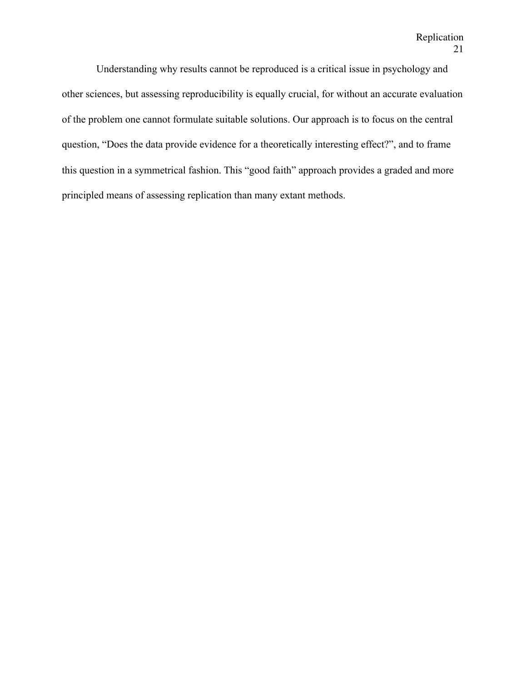Understanding why results cannot be reproduced is a critical issue in psychology and other sciences, but assessing reproducibility is equally crucial, for without an accurate evaluation of the problem one cannot formulate suitable solutions. Our approach is to focus on the central question, "Does the data provide evidence for a theoretically interesting effect?", and to frame this question in a symmetrical fashion. This "good faith" approach provides a graded and more principled means of assessing replication than many extant methods.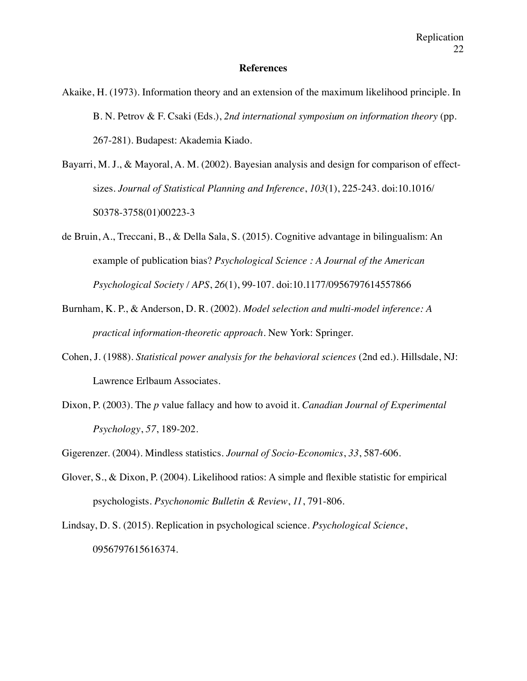#### **References**

- Akaike, H. (1973). Information theory and an extension of the maximum likelihood principle. In B. N. Petrov & F. Csaki (Eds.), *2nd international symposium on information theory* (pp. 267-281). Budapest: Akademia Kiado.
- Bayarri, M. J., & Mayoral, A. M. (2002). Bayesian analysis and design for comparison of effectsizes. *Journal of Statistical Planning and Inference*, *103*(1), 225-243. doi:10.1016/ S0378-3758(01)00223-3
- de Bruin, A., Treccani, B., & Della Sala, S. (2015). Cognitive advantage in bilingualism: An example of publication bias? *Psychological Science : A Journal of the American Psychological Society / APS*, *26*(1), 99-107. doi:10.1177/0956797614557866
- Burnham, K. P., & Anderson, D. R. (2002). *Model selection and multi-model inference: A practical information-theoretic approach.* New York: Springer.
- Cohen, J. (1988). *Statistical power analysis for the behavioral sciences* (2nd ed.). Hillsdale, NJ: Lawrence Erlbaum Associates.
- Dixon, P. (2003). The *p* value fallacy and how to avoid it. *Canadian Journal of Experimental Psychology*, *57*, 189-202.
- Gigerenzer. (2004). Mindless statistics. *Journal of Socio-Economics*, *33*, 587-606.
- Glover, S., & Dixon, P. (2004). Likelihood ratios: A simple and flexible statistic for empirical psychologists. *Psychonomic Bulletin & Review*, *11*, 791-806.
- Lindsay, D. S. (2015). Replication in psychological science. *Psychological Science*, 0956797615616374.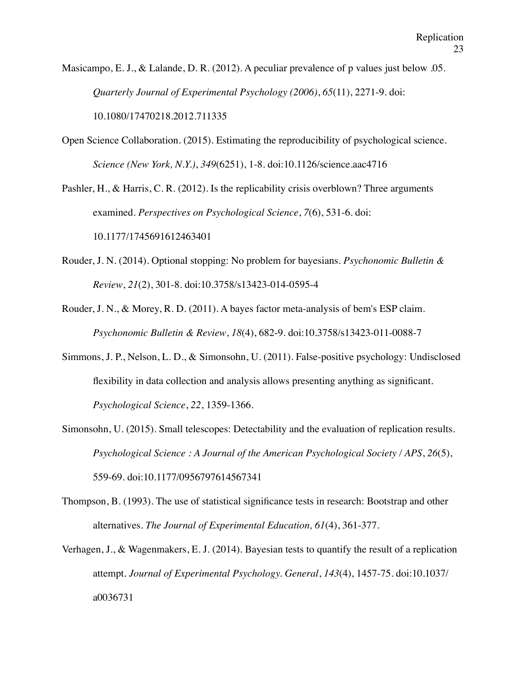Masicampo, E. J., & Lalande, D. R. (2012). A peculiar prevalence of p values just below .05. *Quarterly Journal of Experimental Psychology (2006)*, *65*(11), 2271-9. doi: 10.1080/17470218.2012.711335

Open Science Collaboration. (2015). Estimating the reproducibility of psychological science. *Science (New York, N.Y.)*, *349*(6251), 1-8. doi:10.1126/science.aac4716

Pashler, H., & Harris, C. R. (2012). Is the replicability crisis overblown? Three arguments examined. *Perspectives on Psychological Science*, *7*(6), 531-6. doi: 10.1177/1745691612463401

- Rouder, J. N. (2014). Optional stopping: No problem for bayesians. *Psychonomic Bulletin & Review*, *21*(2), 301-8. doi:10.3758/s13423-014-0595-4
- Rouder, J. N., & Morey, R. D. (2011). A bayes factor meta-analysis of bem's ESP claim. *Psychonomic Bulletin & Review*, *18*(4), 682-9. doi:10.3758/s13423-011-0088-7
- Simmons, J. P., Nelson, L. D., & Simonsohn, U. (2011). False-positive psychology: Undisclosed flexibility in data collection and analysis allows presenting anything as significant. *Psychological Science*, *22*, 1359-1366.
- Simonsohn, U. (2015). Small telescopes: Detectability and the evaluation of replication results. *Psychological Science : A Journal of the American Psychological Society / APS*, *26*(5), 559-69. doi:10.1177/0956797614567341
- Thompson, B. (1993). The use of statistical significance tests in research: Bootstrap and other alternatives. *The Journal of Experimental Education, 61*(4), 361-377.
- Verhagen, J., & Wagenmakers, E. J. (2014). Bayesian tests to quantify the result of a replication attempt. *Journal of Experimental Psychology. General*, *143*(4), 1457-75. doi:10.1037/ a0036731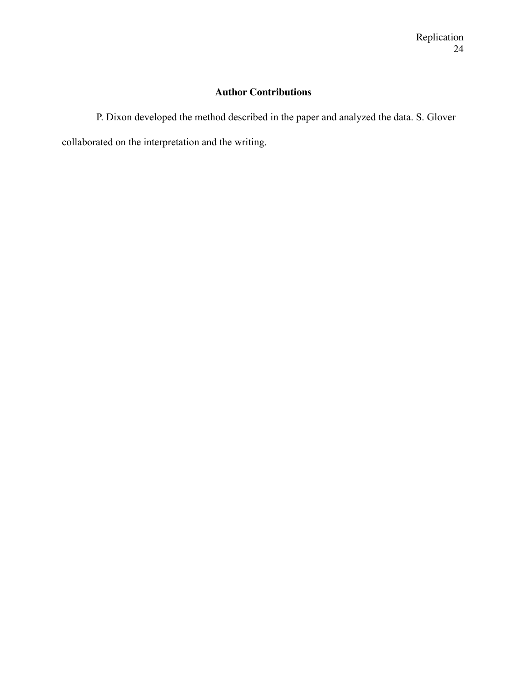# **Author Contributions**

P. Dixon developed the method described in the paper and analyzed the data. S. Glover collaborated on the interpretation and the writing.